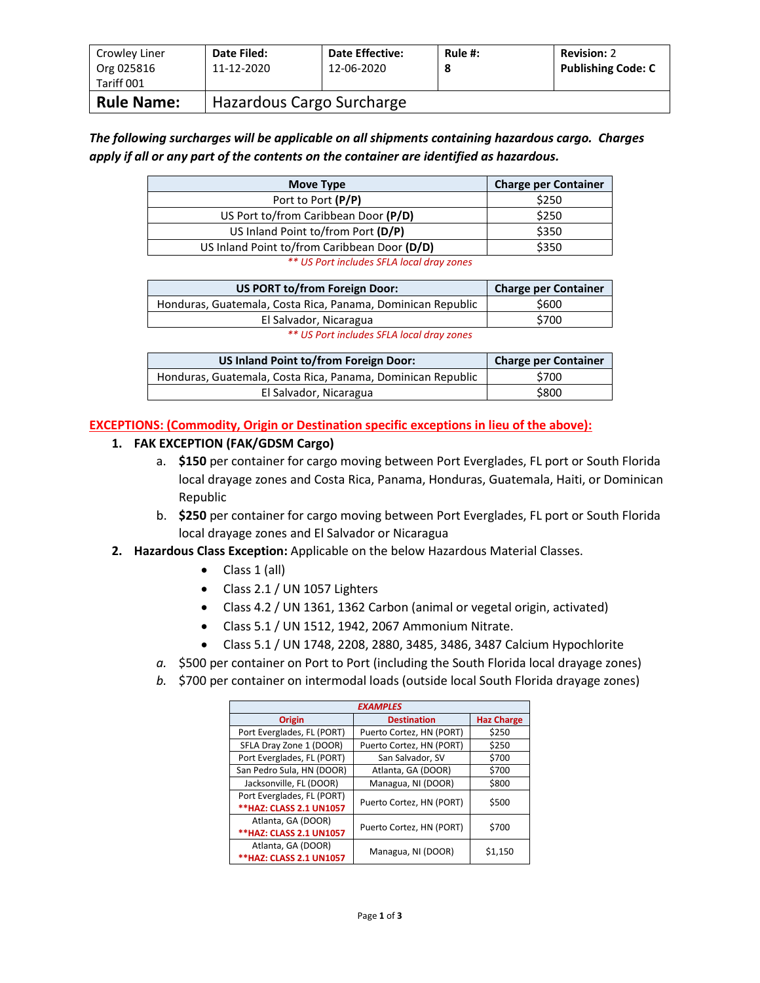| Crowley Liner<br>Org 025816<br>Tariff 001 | Date Filed:<br>11-12-2020 | <b>Date Effective:</b><br>12-06-2020 | Rule $#$ :<br>8 | <b>Revision: 2</b><br><b>Publishing Code: C</b> |
|-------------------------------------------|---------------------------|--------------------------------------|-----------------|-------------------------------------------------|
| <b>Rule Name:</b>                         | Hazardous Cargo Surcharge |                                      |                 |                                                 |

*The following surcharges will be applicable on all shipments containing hazardous cargo. Charges apply if all or any part of the contents on the container are identified as hazardous.*

| Move Type                                    | <b>Charge per Container</b> |  |  |
|----------------------------------------------|-----------------------------|--|--|
| Port to Port (P/P)                           | \$250                       |  |  |
| US Port to/from Caribbean Door (P/D)         | \$250                       |  |  |
| US Inland Point to/from Port (D/P)           | \$350                       |  |  |
| US Inland Point to/from Caribbean Door (D/D) | \$350                       |  |  |
| ** US Port includes SFLA local dray zones    |                             |  |  |

**US PORT to/from Foreign Door: Charge per Container** Honduras, Guatemala, Costa Rica, Panama, Dominican Republic | \$600 El Salvador, Nicaragua **1988 1988 620 6300** *\*\* US Port includes SFLA local dray zones*

| US Inland Point to/from Foreign Door:                       | <b>Charge per Container</b> |
|-------------------------------------------------------------|-----------------------------|
| Honduras, Guatemala, Costa Rica, Panama, Dominican Republic | \$700                       |
| El Salvador, Nicaragua                                      | \$800                       |

**EXCEPTIONS: (Commodity, Origin or Destination specific exceptions in lieu of the above):**

## **1. FAK EXCEPTION (FAK/GDSM Cargo)**

- a. **\$150** per container for cargo moving between Port Everglades, FL port or South Florida local drayage zones and Costa Rica, Panama, Honduras, Guatemala, Haiti, or Dominican Republic
- b. **\$250** per container for cargo moving between Port Everglades, FL port or South Florida local drayage zones and El Salvador or Nicaragua
- **2. Hazardous Class Exception:** Applicable on the below Hazardous Material Classes.
	- $\bullet$  Class 1 (all)
	- Class 2.1 / UN 1057 Lighters
	- Class 4.2 / UN 1361, 1362 Carbon (animal or vegetal origin, activated)
	- Class 5.1 / UN 1512, 1942, 2067 Ammonium Nitrate.
	- Class 5.1 / UN 1748, 2208, 2880, 3485, 3486, 3487 Calcium Hypochlorite
	- *a.* \$500 per container on Port to Port (including the South Florida local drayage zones)
	- *b.* \$700 per container on intermodal loads (outside local South Florida drayage zones)

| <b>EXAMPLES</b>                |                          |                   |  |  |
|--------------------------------|--------------------------|-------------------|--|--|
| Origin                         | <b>Destination</b>       | <b>Haz Charge</b> |  |  |
| Port Everglades, FL (PORT)     | Puerto Cortez, HN (PORT) | \$250             |  |  |
| SFLA Dray Zone 1 (DOOR)        | Puerto Cortez, HN (PORT) | \$250             |  |  |
| Port Everglades, FL (PORT)     | San Salvador, SV         | \$700             |  |  |
| San Pedro Sula, HN (DOOR)      | Atlanta, GA (DOOR)       | \$700             |  |  |
| Jacksonville, FL (DOOR)        | Managua, NI (DOOR)       | \$800             |  |  |
| Port Everglades, FL (PORT)     | Puerto Cortez, HN (PORT) | \$500             |  |  |
| ** HAZ: CLASS 2.1 UN1057       |                          |                   |  |  |
| Atlanta, GA (DOOR)             | Puerto Cortez, HN (PORT) | \$700             |  |  |
| <b>**HAZ: CLASS 2.1 UN1057</b> |                          |                   |  |  |
| Atlanta, GA (DOOR)             | Managua, NI (DOOR)       | \$1,150           |  |  |
| ** HAZ: CLASS 2.1 UN1057       |                          |                   |  |  |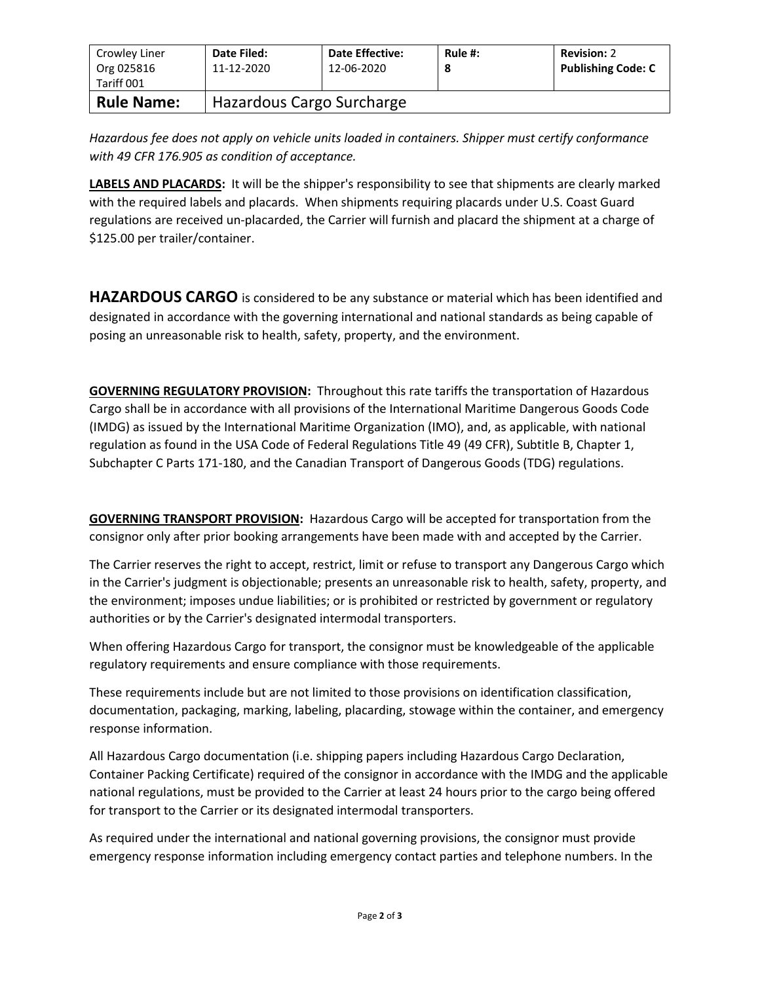| Crowley Liner<br>Org 025816<br>Tariff 001 | Date Filed:<br>11-12-2020 | <b>Date Effective:</b><br>12-06-2020 | Rule #:<br>8 | <b>Revision: 2</b><br><b>Publishing Code: C</b> |
|-------------------------------------------|---------------------------|--------------------------------------|--------------|-------------------------------------------------|
| <b>Rule Name:</b>                         | Hazardous Cargo Surcharge |                                      |              |                                                 |

*Hazardous fee does not apply on vehicle units loaded in containers. Shipper must certify conformance with 49 CFR 176.905 as condition of acceptance.*

**LABELS AND PLACARDS:** It will be the shipper's responsibility to see that shipments are clearly marked with the required labels and placards. When shipments requiring placards under U.S. Coast Guard regulations are received un-placarded, the Carrier will furnish and placard the shipment at a charge of \$125.00 per trailer/container.

**HAZARDOUS CARGO** is considered to be any substance or material which has been identified and designated in accordance with the governing international and national standards as being capable of posing an unreasonable risk to health, safety, property, and the environment.

**GOVERNING REGULATORY PROVISION:** Throughout this rate tariffs the transportation of Hazardous Cargo shall be in accordance with all provisions of the International Maritime Dangerous Goods Code (IMDG) as issued by the International Maritime Organization (IMO), and, as applicable, with national regulation as found in the USA Code of Federal Regulations Title 49 (49 CFR), Subtitle B, Chapter 1, Subchapter C Parts 171-180, and the Canadian Transport of Dangerous Goods (TDG) regulations.

**GOVERNING TRANSPORT PROVISION:** Hazardous Cargo will be accepted for transportation from the consignor only after prior booking arrangements have been made with and accepted by the Carrier.

The Carrier reserves the right to accept, restrict, limit or refuse to transport any Dangerous Cargo which in the Carrier's judgment is objectionable; presents an unreasonable risk to health, safety, property, and the environment; imposes undue liabilities; or is prohibited or restricted by government or regulatory authorities or by the Carrier's designated intermodal transporters.

When offering Hazardous Cargo for transport, the consignor must be knowledgeable of the applicable regulatory requirements and ensure compliance with those requirements.

These requirements include but are not limited to those provisions on identification classification, documentation, packaging, marking, labeling, placarding, stowage within the container, and emergency response information.

All Hazardous Cargo documentation (i.e. shipping papers including Hazardous Cargo Declaration, Container Packing Certificate) required of the consignor in accordance with the IMDG and the applicable national regulations, must be provided to the Carrier at least 24 hours prior to the cargo being offered for transport to the Carrier or its designated intermodal transporters.

As required under the international and national governing provisions, the consignor must provide emergency response information including emergency contact parties and telephone numbers. In the